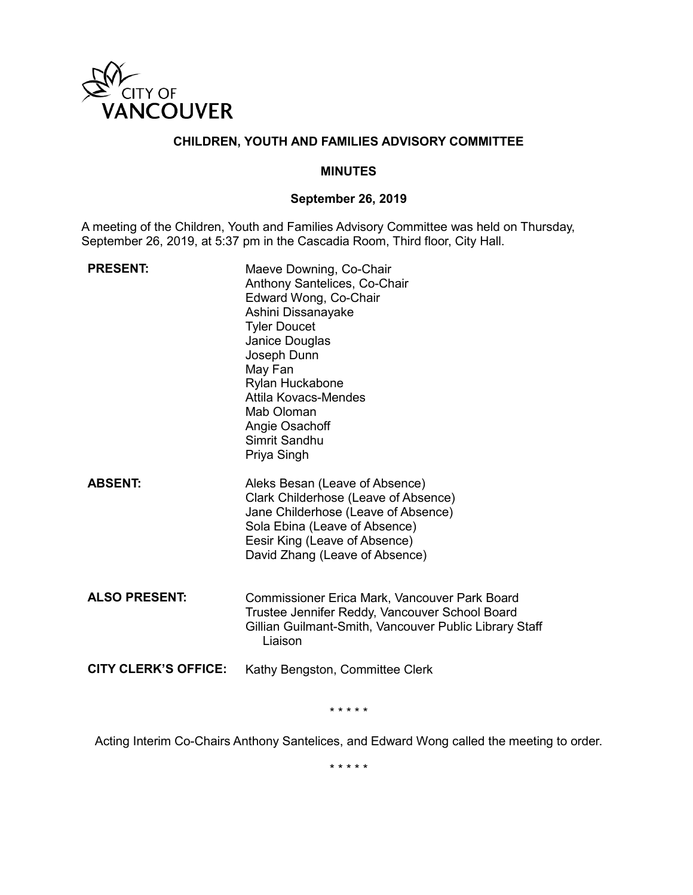

# **CHILDREN, YOUTH AND FAMILIES ADVISORY COMMITTEE**

#### **MINUTES**

## **September 26, 2019**

A meeting of the Children, Youth and Families Advisory Committee was held on Thursday, September 26, 2019, at 5:37 pm in the Cascadia Room, Third floor, City Hall.

| <b>PRESENT:</b>             | Maeve Downing, Co-Chair<br>Anthony Santelices, Co-Chair<br>Edward Wong, Co-Chair<br>Ashini Dissanayake<br><b>Tyler Doucet</b><br>Janice Douglas<br>Joseph Dunn<br>May Fan<br>Rylan Huckabone<br><b>Attila Kovacs-Mendes</b><br>Mab Oloman<br>Angie Osachoff<br>Simrit Sandhu<br>Priya Singh |
|-----------------------------|---------------------------------------------------------------------------------------------------------------------------------------------------------------------------------------------------------------------------------------------------------------------------------------------|
| <b>ABSENT:</b>              | Aleks Besan (Leave of Absence)<br>Clark Childerhose (Leave of Absence)<br>Jane Childerhose (Leave of Absence)<br>Sola Ebina (Leave of Absence)<br>Eesir King (Leave of Absence)<br>David Zhang (Leave of Absence)                                                                           |
| <b>ALSO PRESENT:</b>        | <b>Commissioner Erica Mark, Vancouver Park Board</b><br>Trustee Jennifer Reddy, Vancouver School Board<br>Gillian Guilmant-Smith, Vancouver Public Library Staff<br>Liaison                                                                                                                 |
| <b>CITY CLERK'S OFFICE:</b> | Kathy Bengston, Committee Clerk                                                                                                                                                                                                                                                             |

\* \* \* \* \*

Acting Interim Co-Chairs Anthony Santelices, and Edward Wong called the meeting to order.

\* \* \* \* \*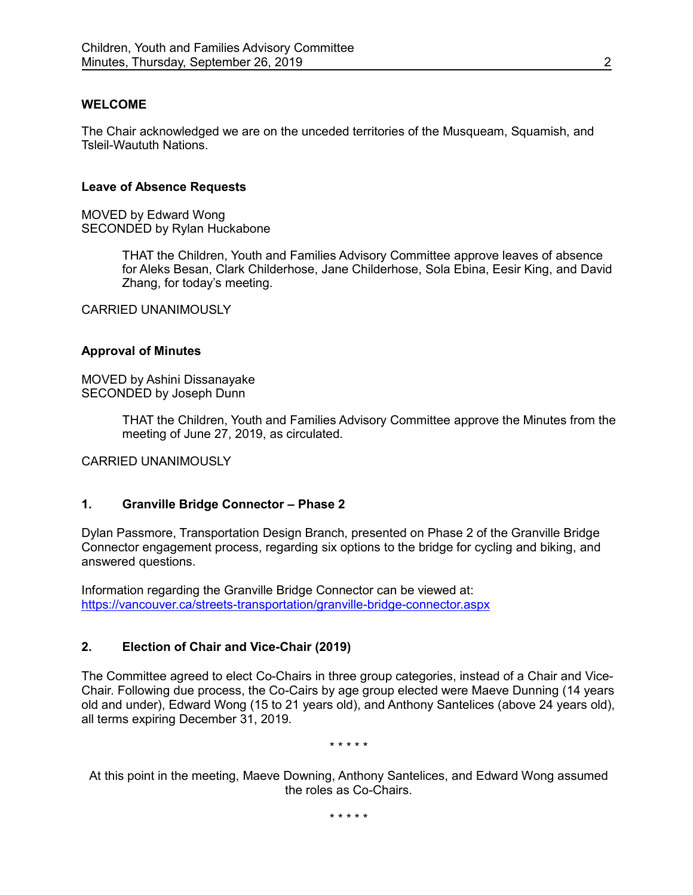# **WELCOME**

The Chair acknowledged we are on the unceded territories of the Musqueam, Squamish, and Tsleil-Waututh Nations.

#### **Leave of Absence Requests**

MOVED by Edward Wong SECONDED by Rylan Huckabone

> THAT the Children, Youth and Families Advisory Committee approve leaves of absence for Aleks Besan, Clark Childerhose, Jane Childerhose, Sola Ebina, Eesir King, and David Zhang, for today's meeting.

CARRIED UNANIMOUSLY

#### **Approval of Minutes**

MOVED by Ashini Dissanayake SECONDED by Joseph Dunn

> THAT the Children, Youth and Families Advisory Committee approve the Minutes from the meeting of June 27, 2019, as circulated.

CARRIED UNANIMOUSLY

# **1. Granville Bridge Connector – Phase 2**

Dylan Passmore, Transportation Design Branch, presented on Phase 2 of the Granville Bridge Connector engagement process, regarding six options to the bridge for cycling and biking, and answered questions.

Information regarding the Granville Bridge Connector can be viewed at: <https://vancouver.ca/streets-transportation/granville-bridge-connector.aspx>

## **2. Election of Chair and Vice-Chair (2019)**

The Committee agreed to elect Co-Chairs in three group categories, instead of a Chair and Vice-Chair. Following due process, the Co-Cairs by age group elected were Maeve Dunning (14 years old and under), Edward Wong (15 to 21 years old), and Anthony Santelices (above 24 years old), all terms expiring December 31, 2019.

\* \* \* \* \*

At this point in the meeting, Maeve Downing, Anthony Santelices, and Edward Wong assumed the roles as Co-Chairs.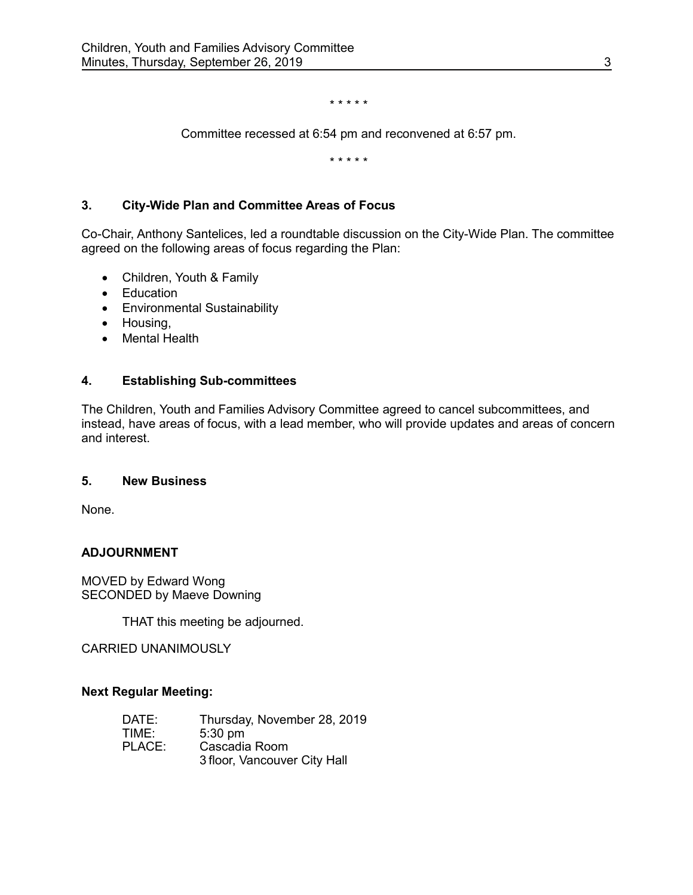\* \* \* \* \*

Committee recessed at 6:54 pm and reconvened at 6:57 pm.

\* \* \* \* \*

# **3. City-Wide Plan and Committee Areas of Focus**

Co-Chair, Anthony Santelices, led a roundtable discussion on the City-Wide Plan. The committee agreed on the following areas of focus regarding the Plan:

- Children, Youth & Family
- Education
- Environmental Sustainability
- Housing,
- Mental Health

# **4. Establishing Sub-committees**

The Children, Youth and Families Advisory Committee agreed to cancel subcommittees, and instead, have areas of focus, with a lead member, who will provide updates and areas of concern and interest.

## **5. New Business**

None.

## **ADJOURNMENT**

MOVED by Edward Wong SECONDED by Maeve Downing

THAT this meeting be adjourned.

CARRIED UNANIMOUSLY

## **Next Regular Meeting:**

| DATE:  | Thursday, November 28, 2019  |
|--------|------------------------------|
| TIME:  | $5:30$ pm                    |
| PLACE: | Cascadia Room                |
|        | 3 floor, Vancouver City Hall |